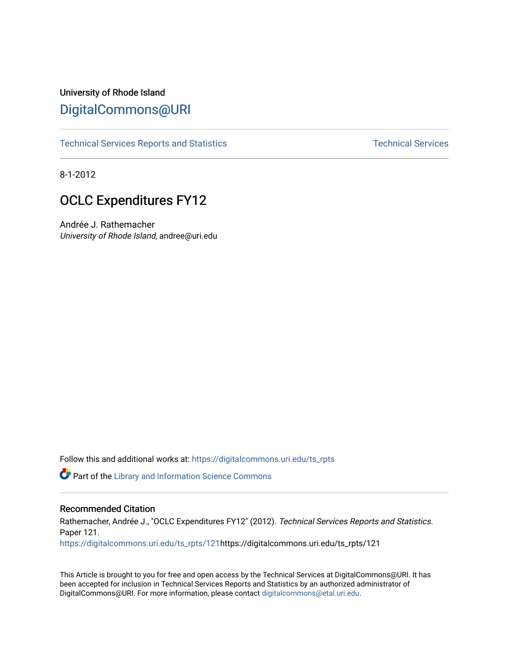# University of Rhode Island [DigitalCommons@URI](https://digitalcommons.uri.edu/)

[Technical Services Reports and Statistics](https://digitalcommons.uri.edu/ts_rpts) [Technical Services](https://digitalcommons.uri.edu/lib_ts) Technical Services

8-1-2012

# OCLC Expenditures FY12

Andrée J. Rathemacher University of Rhode Island, andree@uri.edu

Follow this and additional works at: [https://digitalcommons.uri.edu/ts\\_rpts](https://digitalcommons.uri.edu/ts_rpts?utm_source=digitalcommons.uri.edu%2Fts_rpts%2F121&utm_medium=PDF&utm_campaign=PDFCoverPages) 

Part of the [Library and Information Science Commons](https://network.bepress.com/hgg/discipline/1018?utm_source=digitalcommons.uri.edu%2Fts_rpts%2F121&utm_medium=PDF&utm_campaign=PDFCoverPages) 

#### Recommended Citation

Rathemacher, Andrée J., "OCLC Expenditures FY12" (2012). Technical Services Reports and Statistics. Paper 121. [https://digitalcommons.uri.edu/ts\\_rpts/121h](https://digitalcommons.uri.edu/ts_rpts/121?utm_source=digitalcommons.uri.edu%2Fts_rpts%2F121&utm_medium=PDF&utm_campaign=PDFCoverPages)ttps://digitalcommons.uri.edu/ts\_rpts/121

This Article is brought to you for free and open access by the Technical Services at DigitalCommons@URI. It has been accepted for inclusion in Technical Services Reports and Statistics by an authorized administrator of DigitalCommons@URI. For more information, please contact [digitalcommons@etal.uri.edu.](mailto:digitalcommons@etal.uri.edu)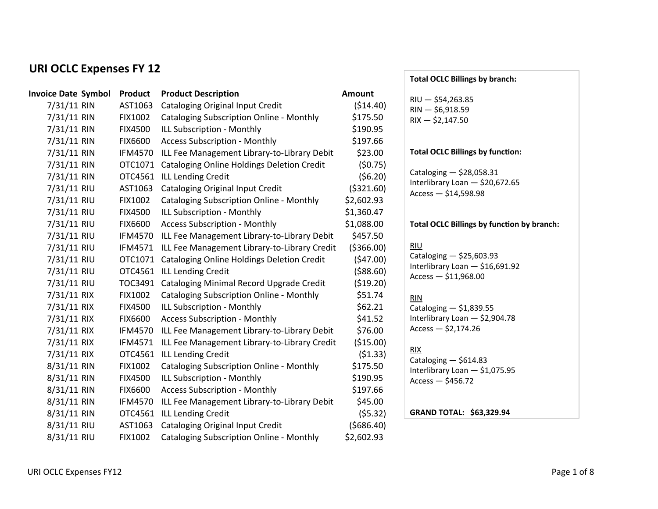## **URI OCLC Expenses FY 12**

| <b>Invoice Date Symbol</b> | <b>Product</b> | <b>Product Description</b>                        | <b>Amount</b> |
|----------------------------|----------------|---------------------------------------------------|---------------|
| 7/31/11 RIN                | AST1063        | <b>Cataloging Original Input Credit</b>           | (\$14.40)     |
| 7/31/11 RIN                | <b>FIX1002</b> | <b>Cataloging Subscription Online - Monthly</b>   | \$175.50      |
| 7/31/11 RIN                | <b>FIX4500</b> | ILL Subscription - Monthly                        | \$190.95      |
| 7/31/11 RIN                | <b>FIX6600</b> | <b>Access Subscription - Monthly</b>              | \$197.66      |
| 7/31/11 RIN                | <b>IFM4570</b> | ILL Fee Management Library-to-Library Debit       | \$23.00       |
| 7/31/11 RIN                | OTC1071        | <b>Cataloging Online Holdings Deletion Credit</b> | (50.75)       |
| 7/31/11 RIN                | OTC4561        | <b>ILL Lending Credit</b>                         | (56.20)       |
| 7/31/11 RIU                | AST1063        | <b>Cataloging Original Input Credit</b>           | ( \$321.60)   |
| 7/31/11 RIU                | <b>FIX1002</b> | <b>Cataloging Subscription Online - Monthly</b>   | \$2,602.93    |
| 7/31/11 RIU                | <b>FIX4500</b> | ILL Subscription - Monthly                        | \$1,360.47    |
| 7/31/11 RIU                | <b>FIX6600</b> | <b>Access Subscription - Monthly</b>              | \$1,088.00    |
| 7/31/11 RIU                | <b>IFM4570</b> | ILL Fee Management Library-to-Library Debit       | \$457.50      |
| 7/31/11 RIU                | <b>IFM4571</b> | ILL Fee Management Library-to-Library Credit      | ( \$366.00)   |
| 7/31/11 RIU                | OTC1071        | Cataloging Online Holdings Deletion Credit        | (\$47.00)     |
| 7/31/11 RIU                | OTC4561        | <b>ILL Lending Credit</b>                         | ( \$88.60)    |
| 7/31/11 RIU                | TOC3491        | Cataloging Minimal Record Upgrade Credit          | ( \$19.20)    |
| 7/31/11 RIX                | <b>FIX1002</b> | <b>Cataloging Subscription Online - Monthly</b>   | \$51.74       |
| 7/31/11 RIX                | <b>FIX4500</b> | ILL Subscription - Monthly                        | \$62.21       |
| 7/31/11 RIX                | <b>FIX6600</b> | <b>Access Subscription - Monthly</b>              | \$41.52       |
| 7/31/11 RIX                | <b>IFM4570</b> | ILL Fee Management Library-to-Library Debit       | \$76.00       |
| 7/31/11 RIX                | <b>IFM4571</b> | ILL Fee Management Library-to-Library Credit      | (\$15.00)     |
| 7/31/11 RIX                | OTC4561        | <b>ILL Lending Credit</b>                         | (51.33)       |
| 8/31/11 RIN                | <b>FIX1002</b> | <b>Cataloging Subscription Online - Monthly</b>   | \$175.50      |
| 8/31/11 RIN                | <b>FIX4500</b> | ILL Subscription - Monthly                        | \$190.95      |
| 8/31/11 RIN                | <b>FIX6600</b> | <b>Access Subscription - Monthly</b>              | \$197.66      |
| 8/31/11 RIN                | <b>IFM4570</b> | ILL Fee Management Library-to-Library Debit       | \$45.00       |
| 8/31/11 RIN                | OTC4561        | <b>ILL Lending Credit</b>                         | (55.32)       |
| 8/31/11 RIU                | AST1063        | <b>Cataloging Original Input Credit</b>           | ( \$686.40)   |
| 8/31/11 RIU                | FIX1002        | <b>Cataloging Subscription Online - Monthly</b>   | \$2,602.93    |
|                            |                |                                                   |               |

#### **Total OCLC Billings by branch:**

| $RU - $54,263.85$ |
|-------------------|
| RIN — \$6,918.59  |
| $RIX - $2,147.50$ |

### **Total OCLC Billings by function:**

Cataloging  $-$  \$28,058.31 Interlibrary Loan  $-$  \$20,672.65  $Access - $14,598.98$ 

#### Total OCLC Billings by function by branch:

#### RIU

Cataloging  $-$  \$25,603.93 Interlibrary Loan - \$16,691.92  $Access - $11,968.00$ 

#### RIN

Cataloging  $-$  \$1,839.55 Interlibrary Loan - \$2,904.78  $Access - $2,174.26$ 

### RIX

 $\overline{\text{Cataloging}} - $614.83$ Interlibrary Loan - \$1,075.95  $Access - $456.72$ 

**GRAND TOTAL: \$63,329.94**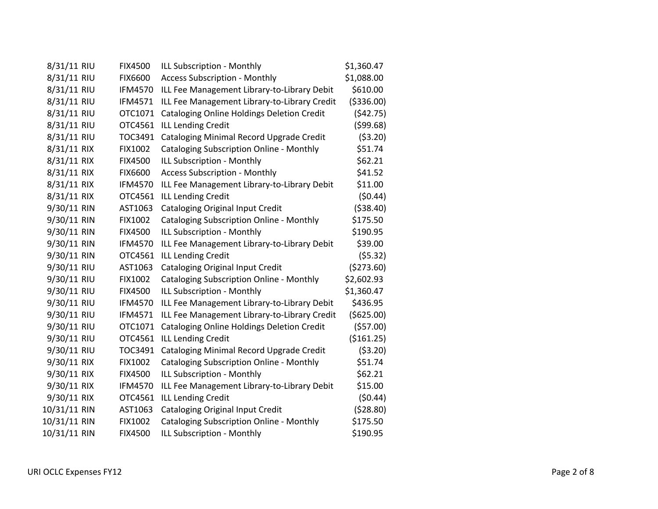| 8/31/11 RIU  | <b>FIX4500</b> | ILL Subscription - Monthly                        | \$1,360.47  |
|--------------|----------------|---------------------------------------------------|-------------|
| 8/31/11 RIU  | <b>FIX6600</b> | <b>Access Subscription - Monthly</b>              | \$1,088.00  |
| 8/31/11 RIU  | <b>IFM4570</b> | ILL Fee Management Library-to-Library Debit       | \$610.00    |
| 8/31/11 RIU  | <b>IFM4571</b> | ILL Fee Management Library-to-Library Credit      | ( \$336.00) |
| 8/31/11 RIU  | OTC1071        | Cataloging Online Holdings Deletion Credit        | (542.75)    |
| 8/31/11 RIU  | OTC4561        | <b>ILL Lending Credit</b>                         | (599.68)    |
| 8/31/11 RIU  | TOC3491        | Cataloging Minimal Record Upgrade Credit          | (53.20)     |
| 8/31/11 RIX  | <b>FIX1002</b> | <b>Cataloging Subscription Online - Monthly</b>   | \$51.74     |
| 8/31/11 RIX  | <b>FIX4500</b> | ILL Subscription - Monthly                        | \$62.21     |
| 8/31/11 RIX  | FIX6600        | <b>Access Subscription - Monthly</b>              | \$41.52     |
| 8/31/11 RIX  | <b>IFM4570</b> | ILL Fee Management Library-to-Library Debit       | \$11.00     |
| 8/31/11 RIX  | OTC4561        | <b>ILL Lending Credit</b>                         | (50.44)     |
| 9/30/11 RIN  | AST1063        | <b>Cataloging Original Input Credit</b>           | ( \$38.40)  |
| 9/30/11 RIN  | <b>FIX1002</b> | <b>Cataloging Subscription Online - Monthly</b>   | \$175.50    |
| 9/30/11 RIN  | <b>FIX4500</b> | ILL Subscription - Monthly                        | \$190.95    |
| 9/30/11 RIN  | <b>IFM4570</b> | ILL Fee Management Library-to-Library Debit       | \$39.00     |
| 9/30/11 RIN  | OTC4561        | <b>ILL Lending Credit</b>                         | (55.32)     |
| 9/30/11 RIU  | AST1063        | <b>Cataloging Original Input Credit</b>           | (\$273.60)  |
| 9/30/11 RIU  | <b>FIX1002</b> | <b>Cataloging Subscription Online - Monthly</b>   | \$2,602.93  |
| 9/30/11 RIU  | <b>FIX4500</b> | ILL Subscription - Monthly                        | \$1,360.47  |
| 9/30/11 RIU  | <b>IFM4570</b> | ILL Fee Management Library-to-Library Debit       | \$436.95    |
| 9/30/11 RIU  | <b>IFM4571</b> | ILL Fee Management Library-to-Library Credit      | (\$625.00)  |
| 9/30/11 RIU  | OTC1071        | <b>Cataloging Online Holdings Deletion Credit</b> | ( \$57.00)  |
| 9/30/11 RIU  | OTC4561        | <b>ILL Lending Credit</b>                         | ( \$161.25) |
| 9/30/11 RIU  | TOC3491        | Cataloging Minimal Record Upgrade Credit          | ( \$3.20)   |
| 9/30/11 RIX  | FIX1002        | <b>Cataloging Subscription Online - Monthly</b>   | \$51.74     |
| 9/30/11 RIX  | <b>FIX4500</b> | ILL Subscription - Monthly                        | \$62.21     |
| 9/30/11 RIX  | <b>IFM4570</b> | ILL Fee Management Library-to-Library Debit       | \$15.00     |
| 9/30/11 RIX  | OTC4561        | <b>ILL Lending Credit</b>                         | (50.44)     |
| 10/31/11 RIN | AST1063        | <b>Cataloging Original Input Credit</b>           | (528.80)    |
| 10/31/11 RIN | <b>FIX1002</b> | <b>Cataloging Subscription Online - Monthly</b>   | \$175.50    |
| 10/31/11 RIN | <b>FIX4500</b> | ILL Subscription - Monthly                        | \$190.95    |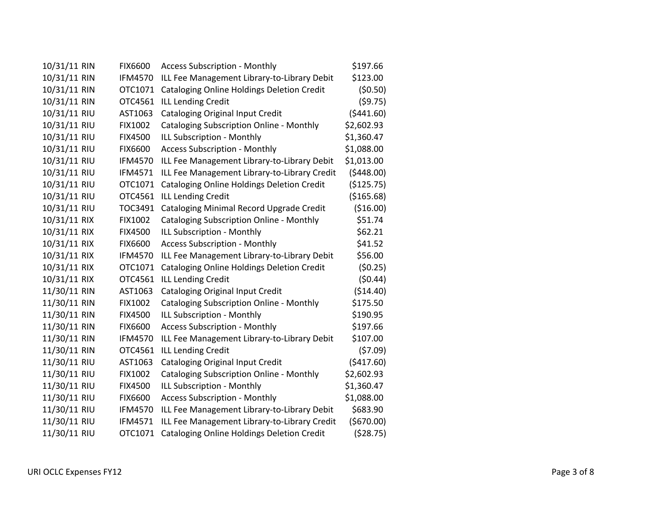| 10/31/11 RIN | <b>FIX6600</b> | <b>Access Subscription - Monthly</b>              | \$197.66    |
|--------------|----------------|---------------------------------------------------|-------------|
| 10/31/11 RIN | <b>IFM4570</b> | ILL Fee Management Library-to-Library Debit       | \$123.00    |
| 10/31/11 RIN | OTC1071        | <b>Cataloging Online Holdings Deletion Credit</b> | (50.50)     |
| 10/31/11 RIN | OTC4561        | <b>ILL Lending Credit</b>                         | (59.75)     |
| 10/31/11 RIU | AST1063        | Cataloging Original Input Credit                  | (5441.60)   |
| 10/31/11 RIU | FIX1002        | <b>Cataloging Subscription Online - Monthly</b>   | \$2,602.93  |
| 10/31/11 RIU | <b>FIX4500</b> | ILL Subscription - Monthly                        | \$1,360.47  |
| 10/31/11 RIU | <b>FIX6600</b> | <b>Access Subscription - Monthly</b>              | \$1,088.00  |
| 10/31/11 RIU | <b>IFM4570</b> | ILL Fee Management Library-to-Library Debit       | \$1,013.00  |
| 10/31/11 RIU | <b>IFM4571</b> | ILL Fee Management Library-to-Library Credit      | (5448.00)   |
| 10/31/11 RIU | OTC1071        | <b>Cataloging Online Holdings Deletion Credit</b> | (\$125.75)  |
| 10/31/11 RIU | OTC4561        | <b>ILL Lending Credit</b>                         | (\$165.68)  |
| 10/31/11 RIU | TOC3491        | Cataloging Minimal Record Upgrade Credit          | (\$16.00)   |
| 10/31/11 RIX | FIX1002        | <b>Cataloging Subscription Online - Monthly</b>   | \$51.74     |
| 10/31/11 RIX | <b>FIX4500</b> | ILL Subscription - Monthly                        | \$62.21     |
| 10/31/11 RIX | <b>FIX6600</b> | <b>Access Subscription - Monthly</b>              | \$41.52     |
| 10/31/11 RIX | <b>IFM4570</b> | ILL Fee Management Library-to-Library Debit       | \$56.00     |
| 10/31/11 RIX | OTC1071        | <b>Cataloging Online Holdings Deletion Credit</b> | (50.25)     |
| 10/31/11 RIX | OTC4561        | <b>ILL Lending Credit</b>                         | (50.44)     |
| 11/30/11 RIN | AST1063        | <b>Cataloging Original Input Credit</b>           | (\$14.40)   |
| 11/30/11 RIN | <b>FIX1002</b> | <b>Cataloging Subscription Online - Monthly</b>   | \$175.50    |
| 11/30/11 RIN | <b>FIX4500</b> | ILL Subscription - Monthly                        | \$190.95    |
| 11/30/11 RIN | <b>FIX6600</b> | <b>Access Subscription - Monthly</b>              | \$197.66    |
| 11/30/11 RIN | <b>IFM4570</b> | ILL Fee Management Library-to-Library Debit       | \$107.00    |
| 11/30/11 RIN | OTC4561        | <b>ILL Lending Credit</b>                         | (57.09)     |
| 11/30/11 RIU | AST1063        | Cataloging Original Input Credit                  | (5417.60)   |
| 11/30/11 RIU | FIX1002        | <b>Cataloging Subscription Online - Monthly</b>   | \$2,602.93  |
| 11/30/11 RIU | <b>FIX4500</b> | ILL Subscription - Monthly                        | \$1,360.47  |
| 11/30/11 RIU | <b>FIX6600</b> | <b>Access Subscription - Monthly</b>              | \$1,088.00  |
| 11/30/11 RIU | <b>IFM4570</b> | ILL Fee Management Library-to-Library Debit       | \$683.90    |
| 11/30/11 RIU | <b>IFM4571</b> | ILL Fee Management Library-to-Library Credit      | ( \$670.00) |
| 11/30/11 RIU | OTC1071        | <b>Cataloging Online Holdings Deletion Credit</b> | (528.75)    |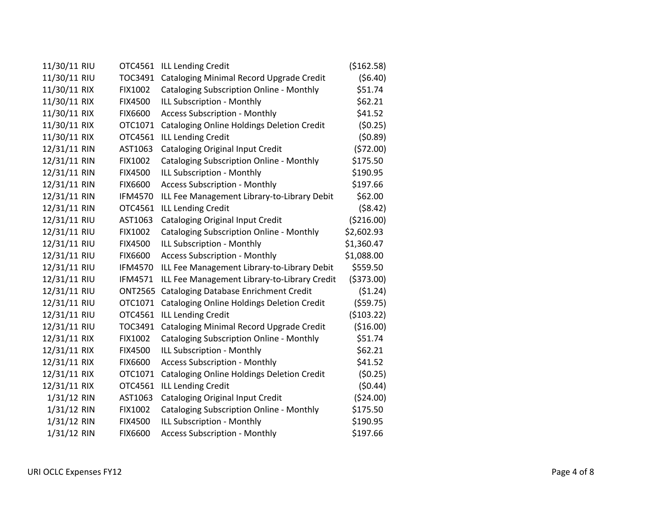| 11/30/11 RIU | OTC4561        | <b>ILL Lending Credit</b>                         | ( \$162.58) |
|--------------|----------------|---------------------------------------------------|-------------|
| 11/30/11 RIU | TOC3491        | Cataloging Minimal Record Upgrade Credit          | (56.40)     |
| 11/30/11 RIX | <b>FIX1002</b> | <b>Cataloging Subscription Online - Monthly</b>   | \$51.74     |
| 11/30/11 RIX | <b>FIX4500</b> | ILL Subscription - Monthly                        | \$62.21     |
| 11/30/11 RIX | <b>FIX6600</b> | <b>Access Subscription - Monthly</b>              | \$41.52     |
| 11/30/11 RIX | OTC1071        | <b>Cataloging Online Holdings Deletion Credit</b> | (50.25)     |
| 11/30/11 RIX | OTC4561        | <b>ILL Lending Credit</b>                         | (50.89)     |
| 12/31/11 RIN | AST1063        | Cataloging Original Input Credit                  | (572.00)    |
| 12/31/11 RIN | FIX1002        | <b>Cataloging Subscription Online - Monthly</b>   | \$175.50    |
| 12/31/11 RIN | <b>FIX4500</b> | ILL Subscription - Monthly                        | \$190.95    |
| 12/31/11 RIN | <b>FIX6600</b> | <b>Access Subscription - Monthly</b>              | \$197.66    |
| 12/31/11 RIN | <b>IFM4570</b> | ILL Fee Management Library-to-Library Debit       | \$62.00     |
| 12/31/11 RIN | OTC4561        | <b>ILL Lending Credit</b>                         | ( \$8.42)   |
| 12/31/11 RIU | AST1063        | <b>Cataloging Original Input Credit</b>           | (\$216.00)  |
| 12/31/11 RIU | <b>FIX1002</b> | <b>Cataloging Subscription Online - Monthly</b>   | \$2,602.93  |
| 12/31/11 RIU | <b>FIX4500</b> | ILL Subscription - Monthly                        | \$1,360.47  |
| 12/31/11 RIU | <b>FIX6600</b> | <b>Access Subscription - Monthly</b>              | \$1,088.00  |
| 12/31/11 RIU | <b>IFM4570</b> | ILL Fee Management Library-to-Library Debit       | \$559.50    |
| 12/31/11 RIU | <b>IFM4571</b> | ILL Fee Management Library-to-Library Credit      | ( \$373.00) |
| 12/31/11 RIU | <b>ONT2565</b> | Cataloging Database Enrichment Credit             | (51.24)     |
| 12/31/11 RIU | OTC1071        | <b>Cataloging Online Holdings Deletion Credit</b> | ( \$59.75)  |
| 12/31/11 RIU | OTC4561        | <b>ILL Lending Credit</b>                         | ( \$103.22) |
| 12/31/11 RIU | TOC3491        | Cataloging Minimal Record Upgrade Credit          | (\$16.00)   |
| 12/31/11 RIX | <b>FIX1002</b> | <b>Cataloging Subscription Online - Monthly</b>   | \$51.74     |
| 12/31/11 RIX | <b>FIX4500</b> | ILL Subscription - Monthly                        | \$62.21     |
| 12/31/11 RIX | <b>FIX6600</b> | <b>Access Subscription - Monthly</b>              | \$41.52     |
| 12/31/11 RIX | OTC1071        | <b>Cataloging Online Holdings Deletion Credit</b> | (50.25)     |
| 12/31/11 RIX | OTC4561        | <b>ILL Lending Credit</b>                         | (50.44)     |
| 1/31/12 RIN  | AST1063        | <b>Cataloging Original Input Credit</b>           | ( \$24.00)  |
| 1/31/12 RIN  | <b>FIX1002</b> | <b>Cataloging Subscription Online - Monthly</b>   | \$175.50    |
| 1/31/12 RIN  | <b>FIX4500</b> | ILL Subscription - Monthly                        | \$190.95    |
| 1/31/12 RIN  | <b>FIX6600</b> | <b>Access Subscription - Monthly</b>              | \$197.66    |
|              |                |                                                   |             |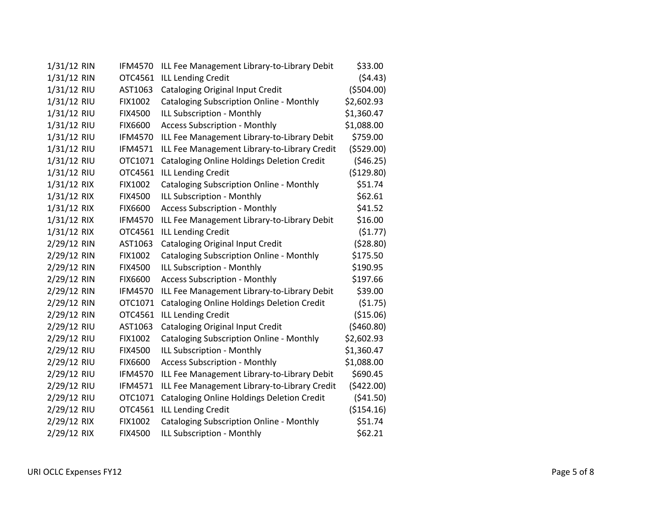| 1/31/12 RIN | <b>IFM4570</b> | ILL Fee Management Library-to-Library Debit       | \$33.00     |
|-------------|----------------|---------------------------------------------------|-------------|
| 1/31/12 RIN | OTC4561        | <b>ILL Lending Credit</b>                         | (54.43)     |
| 1/31/12 RIU | AST1063        | Cataloging Original Input Credit                  | ( \$504.00) |
| 1/31/12 RIU | FIX1002        | <b>Cataloging Subscription Online - Monthly</b>   | \$2,602.93  |
| 1/31/12 RIU | <b>FIX4500</b> | ILL Subscription - Monthly                        | \$1,360.47  |
| 1/31/12 RIU | <b>FIX6600</b> | <b>Access Subscription - Monthly</b>              | \$1,088.00  |
| 1/31/12 RIU | <b>IFM4570</b> | ILL Fee Management Library-to-Library Debit       | \$759.00    |
| 1/31/12 RIU | <b>IFM4571</b> | ILL Fee Management Library-to-Library Credit      | (5529.00)   |
| 1/31/12 RIU | OTC1071        | <b>Cataloging Online Holdings Deletion Credit</b> | (546.25)    |
| 1/31/12 RIU | OTC4561        | <b>ILL Lending Credit</b>                         | (\$129.80)  |
| 1/31/12 RIX | FIX1002        | <b>Cataloging Subscription Online - Monthly</b>   | \$51.74     |
| 1/31/12 RIX | <b>FIX4500</b> | ILL Subscription - Monthly                        | \$62.61     |
| 1/31/12 RIX | <b>FIX6600</b> | <b>Access Subscription - Monthly</b>              | \$41.52     |
| 1/31/12 RIX | <b>IFM4570</b> | ILL Fee Management Library-to-Library Debit       | \$16.00     |
| 1/31/12 RIX | OTC4561        | <b>ILL Lending Credit</b>                         | (51.77)     |
| 2/29/12 RIN | AST1063        | Cataloging Original Input Credit                  | (528.80)    |
| 2/29/12 RIN | <b>FIX1002</b> | <b>Cataloging Subscription Online - Monthly</b>   | \$175.50    |
| 2/29/12 RIN | <b>FIX4500</b> | ILL Subscription - Monthly                        | \$190.95    |
| 2/29/12 RIN | <b>FIX6600</b> | <b>Access Subscription - Monthly</b>              | \$197.66    |
| 2/29/12 RIN | <b>IFM4570</b> | ILL Fee Management Library-to-Library Debit       | \$39.00     |
| 2/29/12 RIN | OTC1071        | <b>Cataloging Online Holdings Deletion Credit</b> | (\$1.75)    |
| 2/29/12 RIN | OTC4561        | <b>ILL Lending Credit</b>                         | (\$15.06)   |
| 2/29/12 RIU | AST1063        | <b>Cataloging Original Input Credit</b>           | (\$460.80)  |
| 2/29/12 RIU | FIX1002        | <b>Cataloging Subscription Online - Monthly</b>   | \$2,602.93  |
| 2/29/12 RIU | <b>FIX4500</b> | ILL Subscription - Monthly                        | \$1,360.47  |
| 2/29/12 RIU | <b>FIX6600</b> | <b>Access Subscription - Monthly</b>              | \$1,088.00  |
| 2/29/12 RIU | <b>IFM4570</b> | ILL Fee Management Library-to-Library Debit       | \$690.45    |
| 2/29/12 RIU | <b>IFM4571</b> | ILL Fee Management Library-to-Library Credit      | (\$422.00)  |
| 2/29/12 RIU | OTC1071        | <b>Cataloging Online Holdings Deletion Credit</b> | (541.50)    |
| 2/29/12 RIU | OTC4561        | <b>ILL Lending Credit</b>                         | (\$154.16)  |
| 2/29/12 RIX | FIX1002        | <b>Cataloging Subscription Online - Monthly</b>   | \$51.74     |
| 2/29/12 RIX | <b>FIX4500</b> | ILL Subscription - Monthly                        | \$62.21     |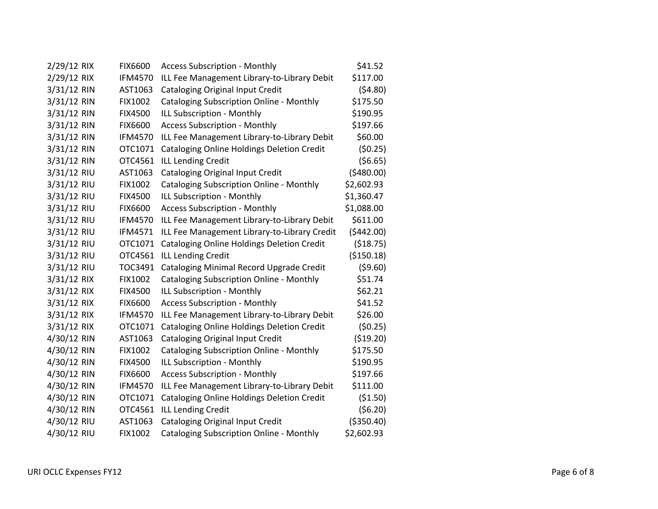| 2/29/12 RIX | <b>FIX6600</b> | <b>Access Subscription - Monthly</b>              | \$41.52     |
|-------------|----------------|---------------------------------------------------|-------------|
| 2/29/12 RIX | <b>IFM4570</b> | ILL Fee Management Library-to-Library Debit       | \$117.00    |
| 3/31/12 RIN | AST1063        | <b>Cataloging Original Input Credit</b>           | (54.80)     |
| 3/31/12 RIN | FIX1002        | <b>Cataloging Subscription Online - Monthly</b>   | \$175.50    |
| 3/31/12 RIN | <b>FIX4500</b> | ILL Subscription - Monthly                        | \$190.95    |
| 3/31/12 RIN | <b>FIX6600</b> | <b>Access Subscription - Monthly</b>              | \$197.66    |
| 3/31/12 RIN | <b>IFM4570</b> | ILL Fee Management Library-to-Library Debit       | \$60.00     |
| 3/31/12 RIN | OTC1071        | <b>Cataloging Online Holdings Deletion Credit</b> | (50.25)     |
| 3/31/12 RIN | OTC4561        | <b>ILL Lending Credit</b>                         | (56.65)     |
| 3/31/12 RIU | AST1063        | Cataloging Original Input Credit                  | (5480.00)   |
| 3/31/12 RIU | FIX1002        | <b>Cataloging Subscription Online - Monthly</b>   | \$2,602.93  |
| 3/31/12 RIU | <b>FIX4500</b> | ILL Subscription - Monthly                        | \$1,360.47  |
| 3/31/12 RIU | <b>FIX6600</b> | <b>Access Subscription - Monthly</b>              | \$1,088.00  |
| 3/31/12 RIU | <b>IFM4570</b> | ILL Fee Management Library-to-Library Debit       | \$611.00    |
| 3/31/12 RIU | IFM4571        | ILL Fee Management Library-to-Library Credit      | (5442.00)   |
| 3/31/12 RIU | OTC1071        | <b>Cataloging Online Holdings Deletion Credit</b> | (\$18.75)   |
| 3/31/12 RIU | OTC4561        | <b>ILL Lending Credit</b>                         | (\$150.18)  |
| 3/31/12 RIU | TOC3491        | Cataloging Minimal Record Upgrade Credit          | ( \$9.60)   |
| 3/31/12 RIX | FIX1002        | <b>Cataloging Subscription Online - Monthly</b>   | \$51.74     |
| 3/31/12 RIX | <b>FIX4500</b> | ILL Subscription - Monthly                        | \$62.21     |
| 3/31/12 RIX | <b>FIX6600</b> | <b>Access Subscription - Monthly</b>              | \$41.52     |
| 3/31/12 RIX | <b>IFM4570</b> | ILL Fee Management Library-to-Library Debit       | \$26.00     |
| 3/31/12 RIX | OTC1071        | <b>Cataloging Online Holdings Deletion Credit</b> | (50.25)     |
| 4/30/12 RIN | AST1063        | Cataloging Original Input Credit                  | ( \$19.20)  |
| 4/30/12 RIN | FIX1002        | <b>Cataloging Subscription Online - Monthly</b>   | \$175.50    |
| 4/30/12 RIN | <b>FIX4500</b> | ILL Subscription - Monthly                        | \$190.95    |
| 4/30/12 RIN | <b>FIX6600</b> | <b>Access Subscription - Monthly</b>              | \$197.66    |
| 4/30/12 RIN | <b>IFM4570</b> | ILL Fee Management Library-to-Library Debit       | \$111.00    |
| 4/30/12 RIN | OTC1071        | <b>Cataloging Online Holdings Deletion Credit</b> | (\$1.50)    |
| 4/30/12 RIN | OTC4561        | <b>ILL Lending Credit</b>                         | (56.20)     |
| 4/30/12 RIU | AST1063        | Cataloging Original Input Credit                  | ( \$350.40) |
| 4/30/12 RIU | <b>FIX1002</b> | <b>Cataloging Subscription Online - Monthly</b>   | \$2,602.93  |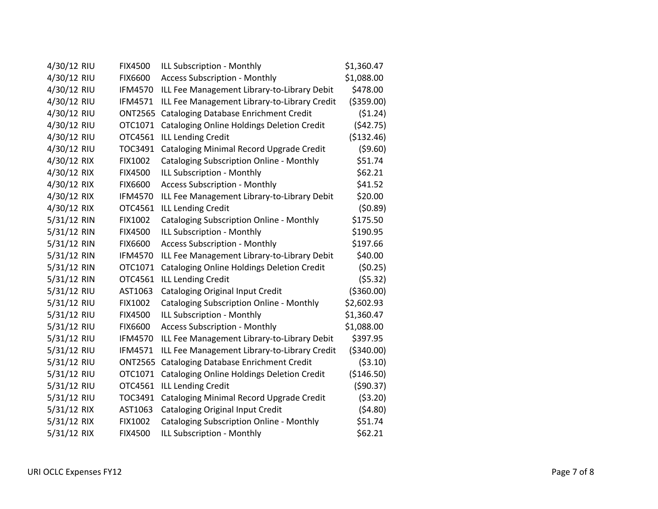| 4/30/12 RIU | <b>FIX4500</b> | ILL Subscription - Monthly                        | \$1,360.47  |
|-------------|----------------|---------------------------------------------------|-------------|
| 4/30/12 RIU | <b>FIX6600</b> | <b>Access Subscription - Monthly</b>              | \$1,088.00  |
| 4/30/12 RIU | <b>IFM4570</b> | ILL Fee Management Library-to-Library Debit       | \$478.00    |
| 4/30/12 RIU | <b>IFM4571</b> | ILL Fee Management Library-to-Library Credit      | ( \$359.00) |
| 4/30/12 RIU | <b>ONT2565</b> | Cataloging Database Enrichment Credit             | (51.24)     |
| 4/30/12 RIU | OTC1071        | <b>Cataloging Online Holdings Deletion Credit</b> | (542.75)    |
| 4/30/12 RIU | OTC4561        | <b>ILL Lending Credit</b>                         | (\$132.46)  |
| 4/30/12 RIU | TOC3491        | Cataloging Minimal Record Upgrade Credit          | (59.60)     |
| 4/30/12 RIX | FIX1002        | Cataloging Subscription Online - Monthly          | \$51.74     |
| 4/30/12 RIX | <b>FIX4500</b> | ILL Subscription - Monthly                        | \$62.21     |
| 4/30/12 RIX | <b>FIX6600</b> | <b>Access Subscription - Monthly</b>              | \$41.52     |
| 4/30/12 RIX | <b>IFM4570</b> | ILL Fee Management Library-to-Library Debit       | \$20.00     |
| 4/30/12 RIX | OTC4561        | <b>ILL Lending Credit</b>                         | (50.89)     |
| 5/31/12 RIN | <b>FIX1002</b> | Cataloging Subscription Online - Monthly          | \$175.50    |
| 5/31/12 RIN | <b>FIX4500</b> | ILL Subscription - Monthly                        | \$190.95    |
| 5/31/12 RIN | <b>FIX6600</b> | <b>Access Subscription - Monthly</b>              | \$197.66    |
| 5/31/12 RIN | <b>IFM4570</b> | ILL Fee Management Library-to-Library Debit       | \$40.00     |
| 5/31/12 RIN | OTC1071        | <b>Cataloging Online Holdings Deletion Credit</b> | (50.25)     |
| 5/31/12 RIN | OTC4561        | <b>ILL Lending Credit</b>                         | (55.32)     |
| 5/31/12 RIU | AST1063        | Cataloging Original Input Credit                  | ( \$360.00) |
| 5/31/12 RIU | FIX1002        | <b>Cataloging Subscription Online - Monthly</b>   | \$2,602.93  |
| 5/31/12 RIU | <b>FIX4500</b> | ILL Subscription - Monthly                        | \$1,360.47  |
| 5/31/12 RIU | <b>FIX6600</b> | <b>Access Subscription - Monthly</b>              | \$1,088.00  |
| 5/31/12 RIU | <b>IFM4570</b> | ILL Fee Management Library-to-Library Debit       | \$397.95    |
| 5/31/12 RIU | <b>IFM4571</b> | ILL Fee Management Library-to-Library Credit      | ( \$340.00) |
| 5/31/12 RIU | <b>ONT2565</b> | Cataloging Database Enrichment Credit             | ( \$3.10)   |
| 5/31/12 RIU | OTC1071        | <b>Cataloging Online Holdings Deletion Credit</b> | (\$146.50)  |
| 5/31/12 RIU | OTC4561        | <b>ILL Lending Credit</b>                         | (590.37)    |
| 5/31/12 RIU | TOC3491        | Cataloging Minimal Record Upgrade Credit          | ( \$3.20)   |
| 5/31/12 RIX | AST1063        | Cataloging Original Input Credit                  | (54.80)     |
| 5/31/12 RIX | <b>FIX1002</b> | <b>Cataloging Subscription Online - Monthly</b>   | \$51.74     |
| 5/31/12 RIX | <b>FIX4500</b> | ILL Subscription - Monthly                        | \$62.21     |